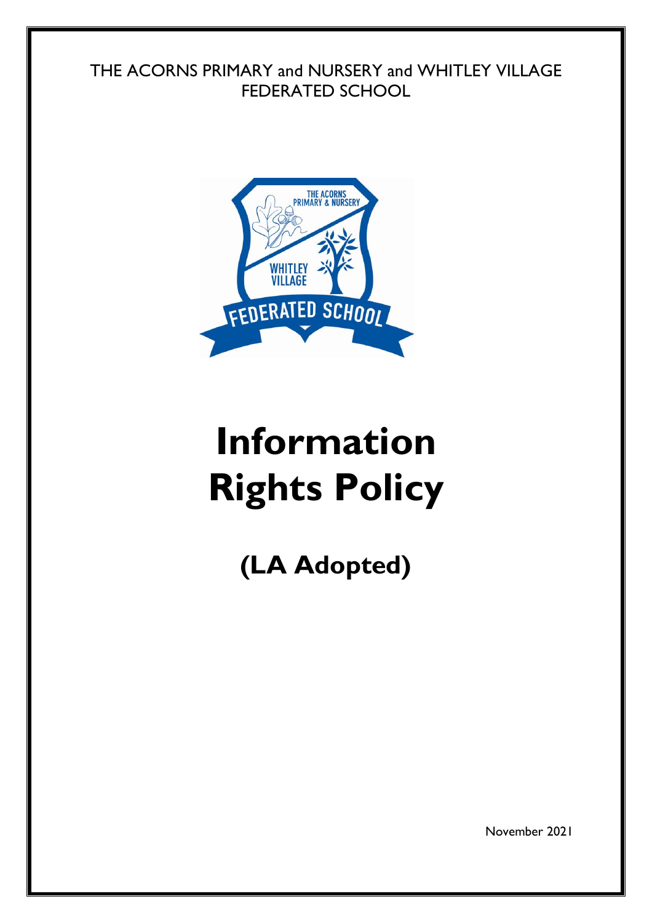## THE ACORNS PRIMARY and NURSERY and WHITLEY VILLAGE FEDERATED SCHOOL



# **Information Rights Policy**

**(LA Adopted)**

November 2021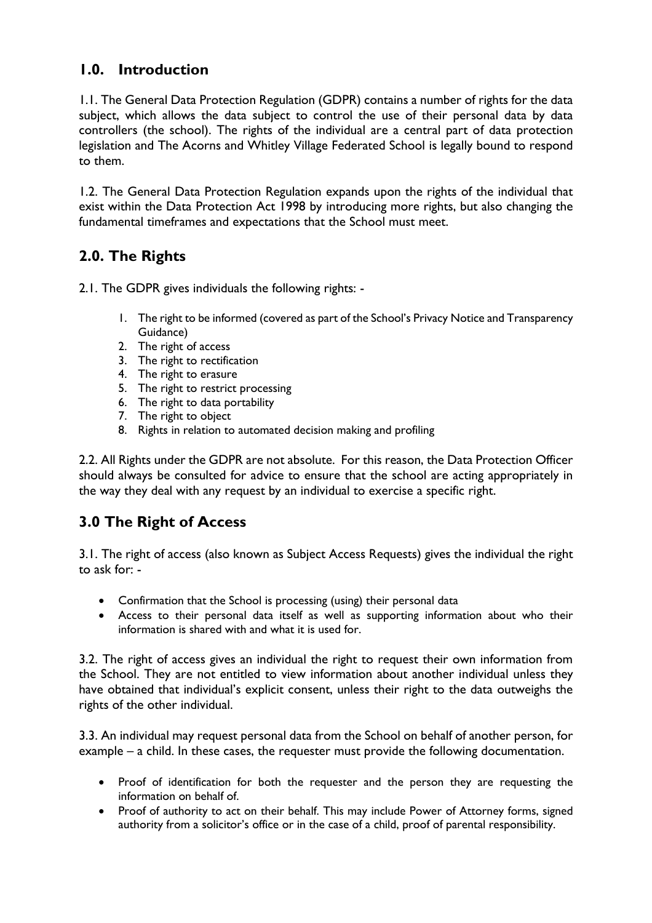## **1.0. Introduction**

1.1. The General Data Protection Regulation (GDPR) contains a number of rights for the data subject, which allows the data subject to control the use of their personal data by data controllers (the school). The rights of the individual are a central part of data protection legislation and The Acorns and Whitley Village Federated School is legally bound to respond to them.

1.2. The General Data Protection Regulation expands upon the rights of the individual that exist within the Data Protection Act 1998 by introducing more rights, but also changing the fundamental timeframes and expectations that the School must meet.

## **2.0. The Rights**

2.1. The GDPR gives individuals the following rights: -

- 1. The right to be informed (covered as part of the School's Privacy Notice and Transparency Guidance)
- 2. The right of access
- 3. The right to rectification
- 4. The right to erasure
- 5. The right to restrict processing
- 6. The right to data portability
- 7. The right to object
- 8. Rights in relation to automated decision making and profiling

2.2. All Rights under the GDPR are not absolute. For this reason, the Data Protection Officer should always be consulted for advice to ensure that the school are acting appropriately in the way they deal with any request by an individual to exercise a specific right.

## **3.0 The Right of Access**

3.1. The right of access (also known as Subject Access Requests) gives the individual the right to ask for: -

- Confirmation that the School is processing (using) their personal data
- Access to their personal data itself as well as supporting information about who their information is shared with and what it is used for.

3.2. The right of access gives an individual the right to request their own information from the School. They are not entitled to view information about another individual unless they have obtained that individual's explicit consent, unless their right to the data outweighs the rights of the other individual.

3.3. An individual may request personal data from the School on behalf of another person, for example – a child. In these cases, the requester must provide the following documentation.

- Proof of identification for both the requester and the person they are requesting the information on behalf of.
- Proof of authority to act on their behalf. This may include Power of Attorney forms, signed authority from a solicitor's office or in the case of a child, proof of parental responsibility.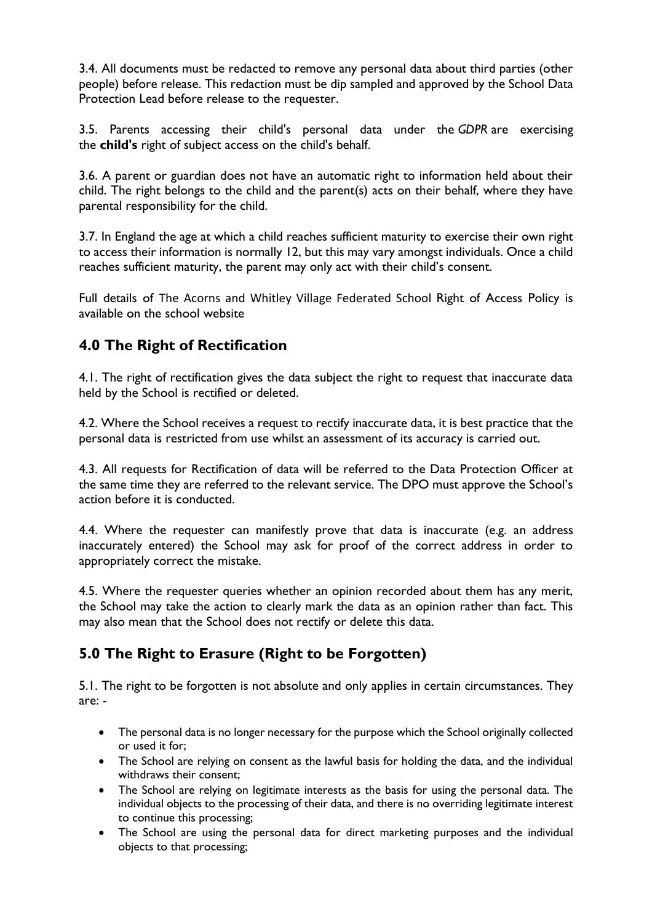3.4. All documents must be redacted to remove any personal data about third parties (other people) before release. This redaction must be dip sampled and approved by the School Data Protection Lead before release to the requester.

3.5. Parents accessing their child's personal data under the *GDPR* are exercising the **child's** right of subject access on the child's behalf.

3.6. A parent or guardian does not have an automatic right to information held about their child. The right belongs to the child and the parent(s) acts on their behalf, where they have parental responsibility for the child.

3.7. In England the age at which a child reaches sufficient maturity to exercise their own right to access their information is normally 12, but this may vary amongst individuals. Once a child reaches sufficient maturity, the parent may only act with their child's consent.

Full details of The Acorns and Whitley Village Federated School Right of Access Policy is available on the school website

## **4.0 The Right of Rectification**

4.1. The right of rectification gives the data subject the right to request that inaccurate data held by the School is rectified or deleted.

4.2. Where the School receives a request to rectify inaccurate data, it is best practice that the personal data is restricted from use whilst an assessment of its accuracy is carried out.

4.3. All requests for Rectification of data will be referred to the Data Protection Officer at the same time they are referred to the relevant service. The DPO must approve the School's action before it is conducted.

4.4. Where the requester can manifestly prove that data is inaccurate (e.g. an address inaccurately entered) the School may ask for proof of the correct address in order to appropriately correct the mistake.

4.5. Where the requester queries whether an opinion recorded about them has any merit, the School may take the action to clearly mark the data as an opinion rather than fact. This may also mean that the School does not rectify or delete this data.

## **5.0 The Right to Erasure (Right to be Forgotten)**

5.1. The right to be forgotten is not absolute and only applies in certain circumstances. They are: -

- The personal data is no longer necessary for the purpose which the School originally collected or used it for;
- The School are relying on consent as the lawful basis for holding the data, and the individual withdraws their consent;
- The School are relying on legitimate interests as the basis for using the personal data. The individual objects to the processing of their data, and there is no overriding legitimate interest to continue this processing;
- The School are using the personal data for direct marketing purposes and the individual objects to that processing;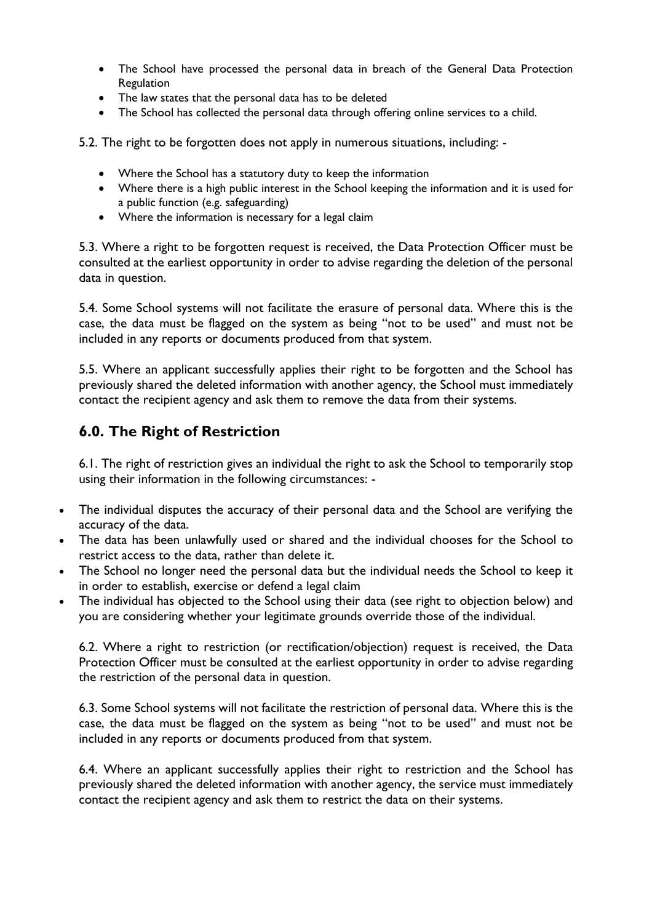- The School have processed the personal data in breach of the General Data Protection Regulation
- The law states that the personal data has to be deleted
- The School has collected the personal data through offering online services to a child.

5.2. The right to be forgotten does not apply in numerous situations, including: -

- Where the School has a statutory duty to keep the information
- Where there is a high public interest in the School keeping the information and it is used for a public function (e.g. safeguarding)
- Where the information is necessary for a legal claim

5.3. Where a right to be forgotten request is received, the Data Protection Officer must be consulted at the earliest opportunity in order to advise regarding the deletion of the personal data in question.

5.4. Some School systems will not facilitate the erasure of personal data. Where this is the case, the data must be flagged on the system as being "not to be used" and must not be included in any reports or documents produced from that system.

5.5. Where an applicant successfully applies their right to be forgotten and the School has previously shared the deleted information with another agency, the School must immediately contact the recipient agency and ask them to remove the data from their systems.

### **6.0. The Right of Restriction**

6.1. The right of restriction gives an individual the right to ask the School to temporarily stop using their information in the following circumstances: -

- The individual disputes the accuracy of their personal data and the School are verifying the accuracy of the data.
- The data has been unlawfully used or shared and the individual chooses for the School to restrict access to the data, rather than delete it.
- The School no longer need the personal data but the individual needs the School to keep it in order to establish, exercise or defend a legal claim
- The individual has objected to the School using their data (see right to objection below) and you are considering whether your legitimate grounds override those of the individual.

6.2. Where a right to restriction (or rectification/objection) request is received, the Data Protection Officer must be consulted at the earliest opportunity in order to advise regarding the restriction of the personal data in question.

6.3. Some School systems will not facilitate the restriction of personal data. Where this is the case, the data must be flagged on the system as being "not to be used" and must not be included in any reports or documents produced from that system.

6.4. Where an applicant successfully applies their right to restriction and the School has previously shared the deleted information with another agency, the service must immediately contact the recipient agency and ask them to restrict the data on their systems.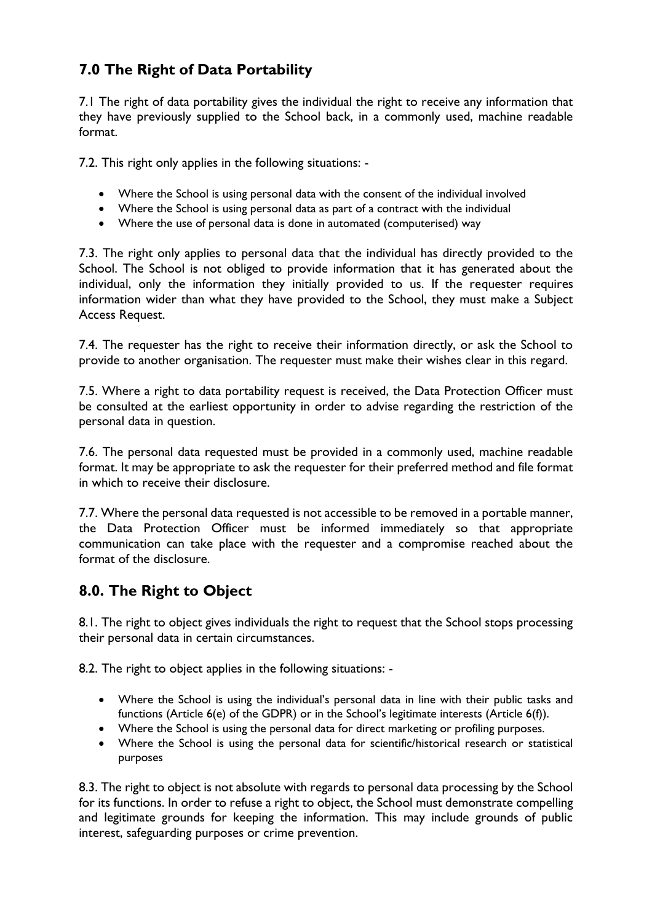## **7.0 The Right of Data Portability**

7.1 The right of data portability gives the individual the right to receive any information that they have previously supplied to the School back, in a commonly used, machine readable format.

7.2. This right only applies in the following situations: -

- Where the School is using personal data with the consent of the individual involved
- Where the School is using personal data as part of a contract with the individual
- Where the use of personal data is done in automated (computerised) way

7.3. The right only applies to personal data that the individual has directly provided to the School. The School is not obliged to provide information that it has generated about the individual, only the information they initially provided to us. If the requester requires information wider than what they have provided to the School, they must make a Subject Access Request.

7.4. The requester has the right to receive their information directly, or ask the School to provide to another organisation. The requester must make their wishes clear in this regard.

7.5. Where a right to data portability request is received, the Data Protection Officer must be consulted at the earliest opportunity in order to advise regarding the restriction of the personal data in question.

7.6. The personal data requested must be provided in a commonly used, machine readable format. It may be appropriate to ask the requester for their preferred method and file format in which to receive their disclosure.

7.7. Where the personal data requested is not accessible to be removed in a portable manner, the Data Protection Officer must be informed immediately so that appropriate communication can take place with the requester and a compromise reached about the format of the disclosure.

## **8.0. The Right to Object**

8.1. The right to object gives individuals the right to request that the School stops processing their personal data in certain circumstances.

8.2. The right to object applies in the following situations: -

- Where the School is using the individual's personal data in line with their public tasks and functions (Article 6(e) of the GDPR) or in the School's legitimate interests (Article 6(f)).
- Where the School is using the personal data for direct marketing or profiling purposes.
- Where the School is using the personal data for scientific/historical research or statistical purposes

8.3. The right to object is not absolute with regards to personal data processing by the School for its functions. In order to refuse a right to object, the School must demonstrate compelling and legitimate grounds for keeping the information. This may include grounds of public interest, safeguarding purposes or crime prevention.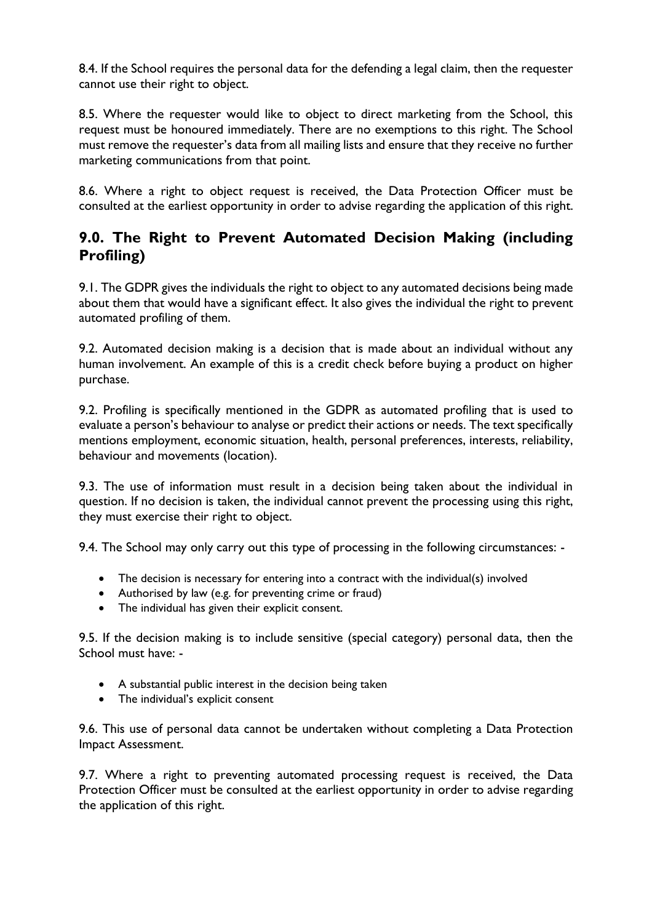8.4. If the School requires the personal data for the defending a legal claim, then the requester cannot use their right to object.

8.5. Where the requester would like to object to direct marketing from the School, this request must be honoured immediately. There are no exemptions to this right. The School must remove the requester's data from all mailing lists and ensure that they receive no further marketing communications from that point.

8.6. Where a right to object request is received, the Data Protection Officer must be consulted at the earliest opportunity in order to advise regarding the application of this right.

## **9.0. The Right to Prevent Automated Decision Making (including Profiling)**

9.1. The GDPR gives the individuals the right to object to any automated decisions being made about them that would have a significant effect. It also gives the individual the right to prevent automated profiling of them.

9.2. Automated decision making is a decision that is made about an individual without any human involvement. An example of this is a credit check before buying a product on higher purchase.

9.2. Profiling is specifically mentioned in the GDPR as automated profiling that is used to evaluate a person's behaviour to analyse or predict their actions or needs. The text specifically mentions employment, economic situation, health, personal preferences, interests, reliability, behaviour and movements (location).

9.3. The use of information must result in a decision being taken about the individual in question. If no decision is taken, the individual cannot prevent the processing using this right, they must exercise their right to object.

9.4. The School may only carry out this type of processing in the following circumstances: -

- The decision is necessary for entering into a contract with the individual(s) involved
- Authorised by law (e.g. for preventing crime or fraud)
- The individual has given their explicit consent.

9.5. If the decision making is to include sensitive (special category) personal data, then the School must have: -

- A substantial public interest in the decision being taken
- The individual's explicit consent

9.6. This use of personal data cannot be undertaken without completing a Data Protection Impact Assessment.

9.7. Where a right to preventing automated processing request is received, the Data Protection Officer must be consulted at the earliest opportunity in order to advise regarding the application of this right.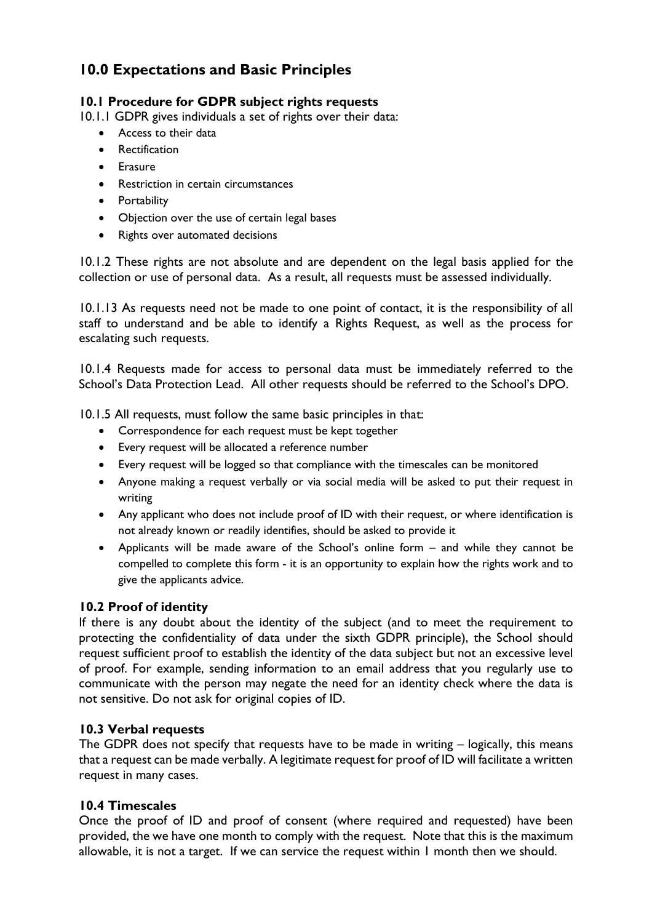## **10.0 Expectations and Basic Principles**

#### **10.1 Procedure for GDPR subject rights requests**

10.1.1 GDPR gives individuals a set of rights over their data:

- Access to their data
- Rectification
- **•** Erasure
- Restriction in certain circumstances
- Portability
- Objection over the use of certain legal bases
- Rights over automated decisions

10.1.2 These rights are not absolute and are dependent on the legal basis applied for the collection or use of personal data. As a result, all requests must be assessed individually.

10.1.13 As requests need not be made to one point of contact, it is the responsibility of all staff to understand and be able to identify a Rights Request, as well as the process for escalating such requests.

10.1.4 Requests made for access to personal data must be immediately referred to the School's Data Protection Lead. All other requests should be referred to the School's DPO.

10.1.5 All requests, must follow the same basic principles in that:

- Correspondence for each request must be kept together
- Every request will be allocated a reference number
- Every request will be logged so that compliance with the timescales can be monitored
- Anyone making a request verbally or via social media will be asked to put their request in writing
- Any applicant who does not include proof of ID with their request, or where identification is not already known or readily identifies, should be asked to provide it
- Applicants will be made aware of the School's online form and while they cannot be compelled to complete this form - it is an opportunity to explain how the rights work and to give the applicants advice.

#### **10.2 Proof of identity**

If there is any doubt about the identity of the subject (and to meet the requirement to protecting the confidentiality of data under the sixth GDPR principle), the School should request sufficient proof to establish the identity of the data subject but not an excessive level of proof. For example, sending information to an email address that you regularly use to communicate with the person may negate the need for an identity check where the data is not sensitive. Do not ask for original copies of ID.

#### **10.3 Verbal requests**

The GDPR does not specify that requests have to be made in writing – logically, this means that a request can be made verbally. A legitimate request for proof of ID will facilitate a written request in many cases.

#### **10.4 Timescales**

Once the proof of ID and proof of consent (where required and requested) have been provided, the we have one month to comply with the request. Note that this is the maximum allowable, it is not a target. If we can service the request within 1 month then we should.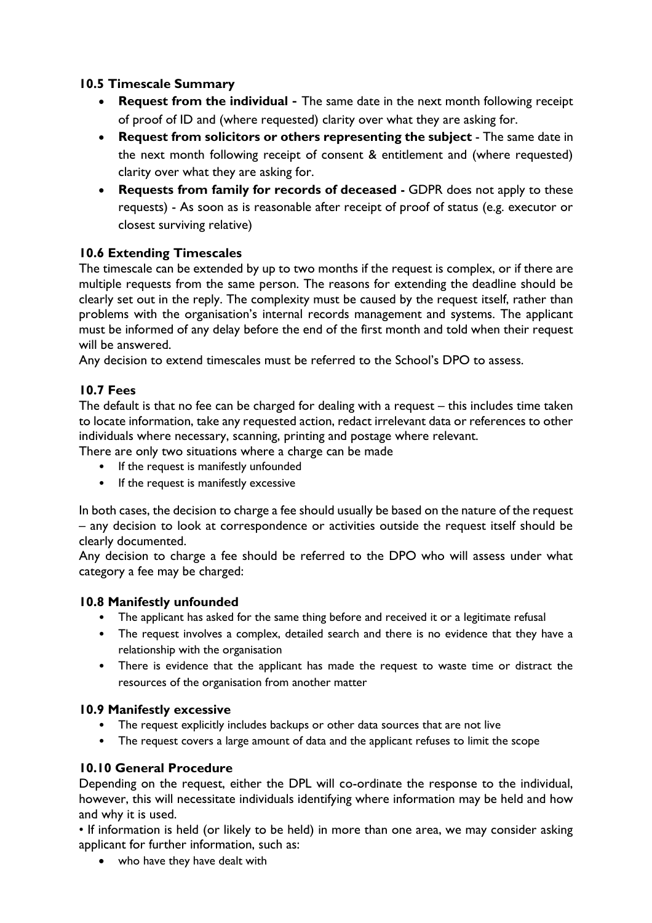#### **10.5 Timescale Summary**

- **Request from the individual** The same date in the next month following receipt of proof of ID and (where requested) clarity over what they are asking for.
- **Request from solicitors or others representing the subject** The same date in the next month following receipt of consent & entitlement and (where requested) clarity over what they are asking for.
- **Requests from family for records of deceased -** GDPR does not apply to these requests) - As soon as is reasonable after receipt of proof of status (e.g. executor or closest surviving relative)

#### **10.6 Extending Timescales**

The timescale can be extended by up to two months if the request is complex, or if there are multiple requests from the same person. The reasons for extending the deadline should be clearly set out in the reply. The complexity must be caused by the request itself, rather than problems with the organisation's internal records management and systems. The applicant must be informed of any delay before the end of the first month and told when their request will be answered.

Any decision to extend timescales must be referred to the School's DPO to assess.

#### **10.7 Fees**

The default is that no fee can be charged for dealing with a request – this includes time taken to locate information, take any requested action, redact irrelevant data or references to other individuals where necessary, scanning, printing and postage where relevant.

There are only two situations where a charge can be made

- If the request is manifestly unfounded
- If the request is manifestly excessive

In both cases, the decision to charge a fee should usually be based on the nature of the request – any decision to look at correspondence or activities outside the request itself should be clearly documented.

Any decision to charge a fee should be referred to the DPO who will assess under what category a fee may be charged:

#### **10.8 Manifestly unfounded**

- The applicant has asked for the same thing before and received it or a legitimate refusal
- The request involves a complex, detailed search and there is no evidence that they have a relationship with the organisation
- There is evidence that the applicant has made the request to waste time or distract the resources of the organisation from another matter

#### **10.9 Manifestly excessive**

- The request explicitly includes backups or other data sources that are not live
- The request covers a large amount of data and the applicant refuses to limit the scope

#### **10.10 General Procedure**

Depending on the request, either the DPL will co-ordinate the response to the individual, however, this will necessitate individuals identifying where information may be held and how and why it is used.

• If information is held (or likely to be held) in more than one area, we may consider asking applicant for further information, such as:

who have they have dealt with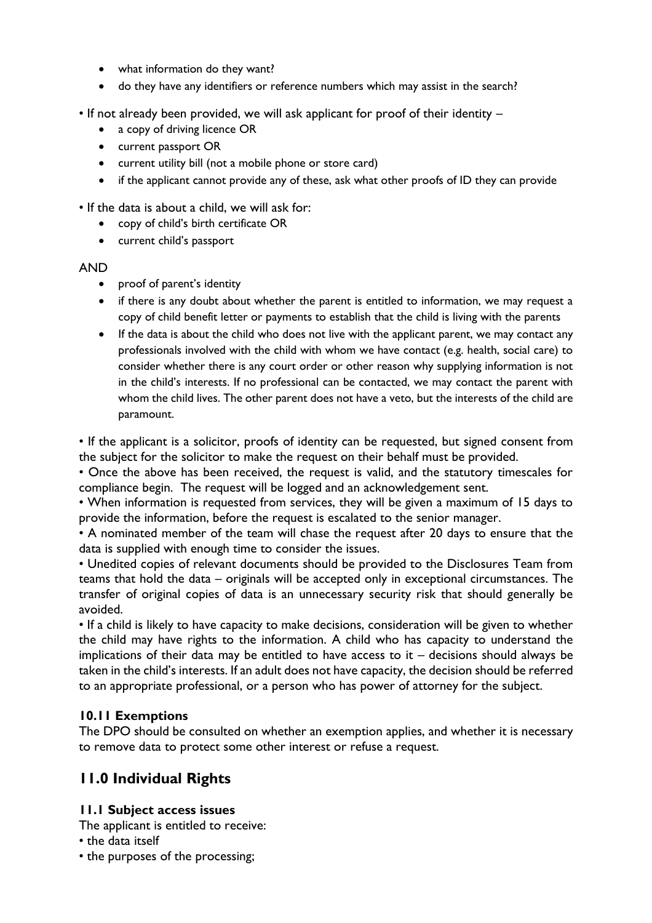- what information do they want?
- do they have any identifiers or reference numbers which may assist in the search?
- If not already been provided, we will ask applicant for proof of their identity
	- a copy of driving licence OR
	- current passport OR
	- current utility bill (not a mobile phone or store card)
	- if the applicant cannot provide any of these, ask what other proofs of ID they can provide

• If the data is about a child, we will ask for:

- copy of child's birth certificate OR
- current child's passport

#### AND

- proof of parent's identity
- if there is any doubt about whether the parent is entitled to information, we may request a copy of child benefit letter or payments to establish that the child is living with the parents
- If the data is about the child who does not live with the applicant parent, we may contact any professionals involved with the child with whom we have contact (e.g. health, social care) to consider whether there is any court order or other reason why supplying information is not in the child's interests. If no professional can be contacted, we may contact the parent with whom the child lives. The other parent does not have a veto, but the interests of the child are paramount.

• If the applicant is a solicitor, proofs of identity can be requested, but signed consent from the subject for the solicitor to make the request on their behalf must be provided.

• Once the above has been received, the request is valid, and the statutory timescales for compliance begin. The request will be logged and an acknowledgement sent.

• When information is requested from services, they will be given a maximum of 15 days to provide the information, before the request is escalated to the senior manager.

• A nominated member of the team will chase the request after 20 days to ensure that the data is supplied with enough time to consider the issues.

• Unedited copies of relevant documents should be provided to the Disclosures Team from teams that hold the data – originals will be accepted only in exceptional circumstances. The transfer of original copies of data is an unnecessary security risk that should generally be avoided.

• If a child is likely to have capacity to make decisions, consideration will be given to whether the child may have rights to the information. A child who has capacity to understand the implications of their data may be entitled to have access to it  $-$  decisions should always be taken in the child's interests. If an adult does not have capacity, the decision should be referred to an appropriate professional, or a person who has power of attorney for the subject.

#### **10.11 Exemptions**

The DPO should be consulted on whether an exemption applies, and whether it is necessary to remove data to protect some other interest or refuse a request.

## **11.0 Individual Rights**

#### **11.1 Subject access issues**

The applicant is entitled to receive:

• the data itself

• the purposes of the processing;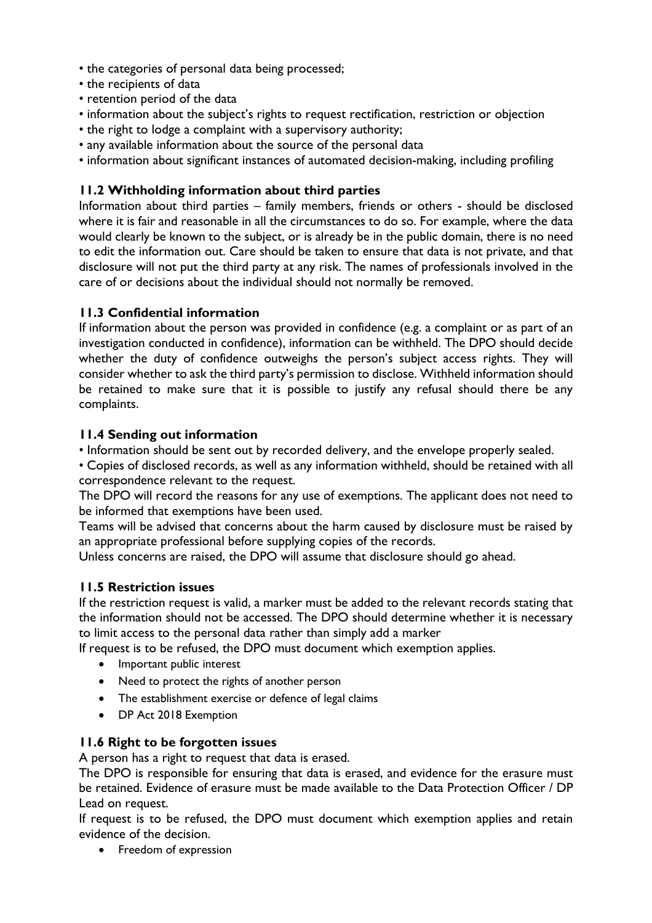- the categories of personal data being processed;
- the recipients of data
- retention period of the data
- information about the subject's rights to request rectification, restriction or objection
- the right to lodge a complaint with a supervisory authority;
- any available information about the source of the personal data
- information about significant instances of automated decision-making, including profiling

#### **11.2 Withholding information about third parties**

Information about third parties – family members, friends or others - should be disclosed where it is fair and reasonable in all the circumstances to do so. For example, where the data would clearly be known to the subject, or is already be in the public domain, there is no need to edit the information out. Care should be taken to ensure that data is not private, and that disclosure will not put the third party at any risk. The names of professionals involved in the care of or decisions about the individual should not normally be removed.

#### **11.3 Confidential information**

If information about the person was provided in confidence (e.g. a complaint or as part of an investigation conducted in confidence), information can be withheld. The DPO should decide whether the duty of confidence outweighs the person's subject access rights. They will consider whether to ask the third party's permission to disclose. Withheld information should be retained to make sure that it is possible to justify any refusal should there be any complaints.

#### **11.4 Sending out information**

• Information should be sent out by recorded delivery, and the envelope properly sealed.

• Copies of disclosed records, as well as any information withheld, should be retained with all correspondence relevant to the request.

The DPO will record the reasons for any use of exemptions. The applicant does not need to be informed that exemptions have been used.

Teams will be advised that concerns about the harm caused by disclosure must be raised by an appropriate professional before supplying copies of the records.

Unless concerns are raised, the DPO will assume that disclosure should go ahead.

#### **11.5 Restriction issues**

If the restriction request is valid, a marker must be added to the relevant records stating that the information should not be accessed. The DPO should determine whether it is necessary to limit access to the personal data rather than simply add a marker

If request is to be refused, the DPO must document which exemption applies.

- Important public interest
- Need to protect the rights of another person
- The establishment exercise or defence of legal claims
- DP Act 2018 Exemption

#### **11.6 Right to be forgotten issues**

A person has a right to request that data is erased.

The DPO is responsible for ensuring that data is erased, and evidence for the erasure must be retained. Evidence of erasure must be made available to the Data Protection Officer / DP Lead on request.

If request is to be refused, the DPO must document which exemption applies and retain evidence of the decision.

• Freedom of expression